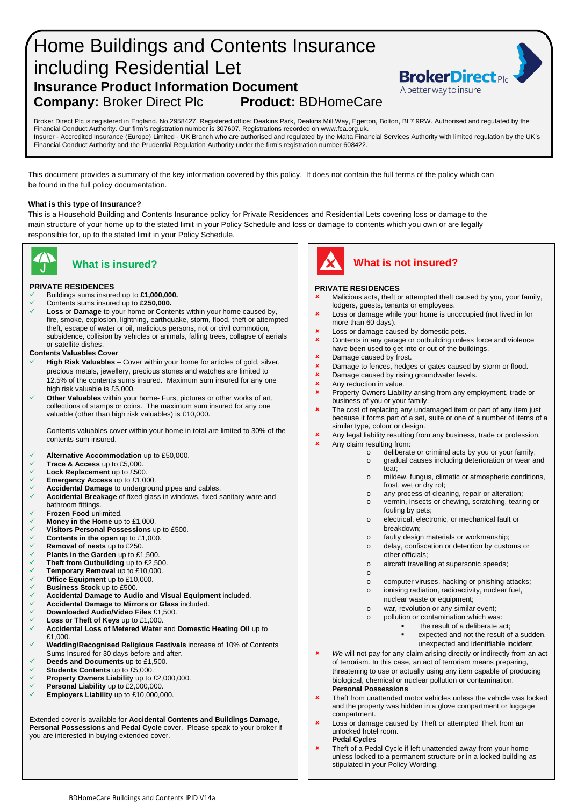# Home Buildings and Contents Insurance including Residential Let **Insurance Product Information Document Company:** Broker Direct Plc **Product:** BDHomeCare



Broker Direct Plc is registered in England. No.2958427. Registered office: Deakins Park, Deakins Mill Way, Egerton, Bolton, BL7 9RW. Authorised and regulated by the Financial Conduct Authority. Our firm's registration number is 307607. Registrations recorded on www.fca.org.uk. Insurer - Accredited Insurance (Europe) Limited - UK Branch who are authorised and regulated by the Malta Financial Services Authority with limited regulation by the UK's Financial Conduct Authority and the Prudential Regulation Authority under the firm's registration number 608422.

This document provides a summary of the key information covered by this policy. It does not contain the full terms of the policy which can be found in the full policy documentation.

### **What is this type of Insurance?**

This is a Household Building and Contents Insurance policy for Private Residences and Residential Lets covering loss or damage to the main structure of your home up to the stated limit in your Policy Schedule and loss or damage to contents which you own or are legally responsible for, up to the stated limit in your Policy Schedule.



#### **PRIVATE RESIDENCES**

Buildings sums insured up to **£1,000,000.**

- Contents sums insured up to **£250,000.**
- **Loss** or **Damage** to your home or Contents within your home caused by, fire, smoke, explosion, lightning, earthquake, storm, flood, theft or attempted theft, escape of water or oil, malicious persons, riot or civil commotion, subsidence, collision by vehicles or animals, falling trees, collapse of aerials or satellite dishes.

#### **Contents Valuables Cover**

- **High Risk Valuables** Cover within your home for articles of gold, silver, precious metals, jewellery, precious stones and watches are limited to 12.5% of the contents sums insured. Maximum sum insured for any one high risk valuable is £5,000.
- **Other Valuables** within your home- Furs, pictures or other works of art, collections of stamps or coins. The maximum sum insured for any one valuable (other than high risk valuables) is £10,000.

Contents valuables cover within your home in total are limited to 30% of the contents sum insured.

- **Alternative Accommodation** up to £50,000.
- **Trace & Access up to £5,000.**<br><del>✓</del> Lock Replacement up to £500
- **Lock Replacement** up to £500.
- **Emergency Access** up to £1,000.<br> **Accidental Damage** to undergroup
- **Accidental Damage** to underground pipes and cables.
- **Accidental Breakage** of fixed glass in windows, fixed sanitary ware and bathroom fittings.
- **Frozen Food** unlimited.
- **Money in the Home** up to £1,000.
- **Visitors Personal Possessions** up to £500.
- **Contents in the open** up to £1,000.
- **Removal of nests** up to £250.
- **Plants in the Garden** up to £1,500.
- **Theft from Outbuilding** up to £2,500.<br> **Temporary Removal up to £10,000**
- **Temporary Removal up to £10,000.**<br>**∠** Office Fquipment up to £10,000
- **Office Equipment** up to £10,000.
- **Business Stock** up to £500.
- **Accidental Damage to Audio and Visual Equipment** included.
- **Accidental Damage to Mirrors or Glass** included.
- **Downloaded Audio/Video Files** £1,500.
- **Loss or Theft of Keys** up to £1,000.
- **Accidental Loss of Metered Water** and **Domestic Heating Oil** up to £1,000
- **Wedding/Recognised Religious Festivals** increase of 10% of Contents Sums Insured for 30 days before and after.
- **Deeds and Documents** up to £1,500.
- **Students Contents** up to £5,000.
- **Property Owners Liability** up to £2,000,000.<br> **Personal Liability** up to £2,000,000
- **Personal Liability** up to £2,000,000. **Employers Liability** up to £10,000,000.
- 

Extended cover is available for **Accidental Contents and Buildings Damage**, **Personal Possessions** and **Pedal Cycle** cover. Please speak to your broker if you are interested in buying extended cover.



# **What is insured? What is not insured?**

### **PRIVATE RESIDENCES**

- Malicious acts, theft or attempted theft caused by you, your family, lodgers, guests, tenants or employees.
- **x** Loss or damage while your home is unoccupied (not lived in for more than 60 days).
- **x** Loss or damage caused by domestic pets.
- Contents in any garage or outbuilding unless force and violence have been used to get into or out of the buildings.
- **x** Damage caused by frost.
- Damage to fences, hedges or gates caused by storm or flood.
- **x** Damage caused by rising groundwater levels.<br>**x** Any reduction in value.
- **x** Any reduction in value.
- Property Owners Liability arising from any employment, trade or business of you or your family.
- **x** The cost of replacing any undamaged item or part of any item just because it forms part of a set, suite or one of a number of items of a similar type, colour or design.
- **x** Any legal liability resulting from any business, trade or profession.
- Any claim resulting from:
	- o deliberate or criminal acts by you or your family;<br>o gradual causes including deterioration or wear a
		- gradual causes including deterioration or wear and tear;
		- o mildew, fungus, climatic or atmospheric conditions, frost, wet or dry rot;
		- o any process of cleaning, repair or alteration;
	- o vermin, insects or chewing, scratching, tearing or fouling by pets;
		- o electrical, electronic, or mechanical fault or breakdown;
		- o faulty design materials or workmanship;
		- o delay, confiscation or detention by customs or
		- other officials;
		- o aircraft travelling at supersonic speeds;
		- o
		- o computer viruses, hacking or phishing attacks;<br>o ionising radiation, radioactivity, nuclear fuel.
		- ionising radiation, radioactivity, nuclear fuel, nuclear waste or equipment;
		- o war, revolution or any similar event;
		- o pollution or contamination which was:
			- the result of a deliberate act;
			- expected and not the result of a sudden, unexpected and identifiable incident.
- **x** We will not pay for any claim arising directly or indirectly from an act of terrorism. In this case, an act of terrorism means preparing, threatening to use or actually using any item capable of producing biological, chemical or nuclear pollution or contamination. **Personal Possessions**
- **\*** Theft from unattended motor vehicles unless the vehicle was locked and the property was hidden in a glove compartment or luggage compartment.
- **x** Loss or damage caused by Theft or attempted Theft from an unlocked hotel room. **Pedal Cycles**
- **x** Theft of a Pedal Cycle if left unattended away from your home unless locked to a permanent structure or in a locked building as stipulated in your Policy Wording.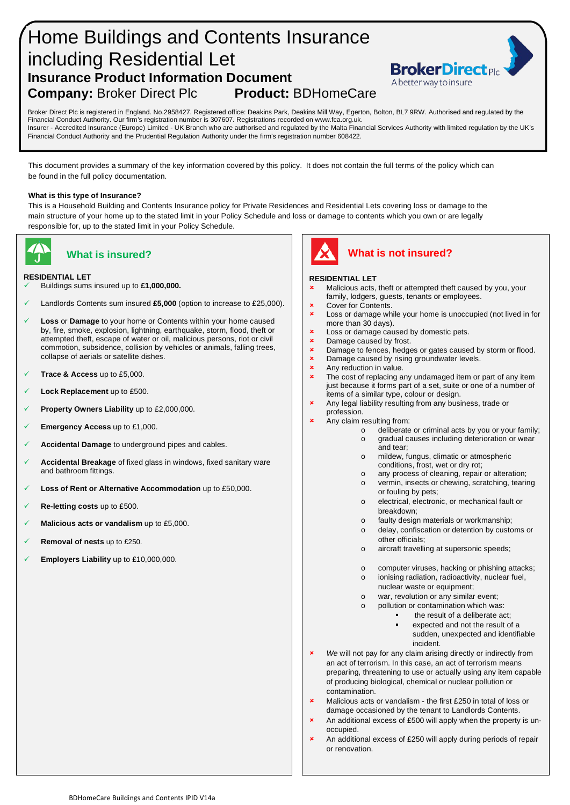# Home Buildings and Contents Insurance including Residential Let **Insurance Product Information Document<br>Company: Broker Direct Plc Product: BDHomeCare Company: Broker Direct Plc**



Broker Direct Plc is registered in England. No.2958427. Registered office: Deakins Park, Deakins Mill Way, Egerton, Bolton, BL7 9RW. Authorised and regulated by the Financial Conduct Authority. Our firm's registration number is 307607. Registrations recorded on www.fca.org.uk. Insurer - Accredited Insurance (Europe) Limited - UK Branch who are authorised and regulated by the Malta Financial Services Authority with limited regulation by the UK's Financial Conduct Authority and the Prudential Regulation Authority under the firm's registration number 608422.

This document provides a summary of the key information covered by this policy. It does not contain the full terms of the policy which can be found in the full policy documentation.

#### **What is this type of Insurance?**

This is a Household Building and Contents Insurance policy for Private Residences and Residential Lets covering loss or damage to the main structure of your home up to the stated limit in your Policy Schedule and loss or damage to contents which you own or are legally responsible for, up to the stated limit in your Policy Schedule.



### **RESIDENTIAL LET**

- Buildings sums insured up to **£1,000,000.**
- Landlords Contents sum insured **£5,000** (option to increase to £25,000).
- **Loss** or **Damage** to your home or Contents within your home caused by, fire, smoke, explosion, lightning, earthquake, storm, flood, theft or attempted theft, escape of water or oil, malicious persons, riot or civil commotion, subsidence, collision by vehicles or animals, falling trees, collapse of aerials or satellite dishes.
- **Trace & Access** up to £5,000.
- **Lock Replacement** up to £500.
- **Property Owners Liability** up to £2,000,000.
- **Emergency Access** up to £1,000.
- **Accidental Damage** to underground pipes and cables.
- **Accidental Breakage** of fixed glass in windows, fixed sanitary ware and bathroom fittings.
- **Loss of Rent or Alternative Accommodation** up to £50,000.
- **Re-letting costs** up to £500.
- **Malicious acts or vandalism** up to £5,000.
- **Removal of nests** up to £250.
- **Employers Liability** up to £10,000,000.



# **What is insured? What is not insured?**

### **RESIDENTIAL LET**

- Malicious acts, theft or attempted theft caused by you, your family, lodgers, guests, tenants or employees.
- Cover for Contents.
- Loss or damage while your home is unoccupied (not lived in for more than 30 days).
- Loss or damage caused by domestic pets.
- $x = \text{Damage caused by first.}$
- Damage to fences, hedges or gates caused by storm or flood.
- **x** Damage caused by rising groundwater levels.
- Any reduction in value.
- **x** The cost of replacing any undamaged item or part of any item just because it forms part of a set, suite or one of a number of items of a similar type, colour or design.
- Any legal liability resulting from any business, trade or profession.
- Any claim resulting from:
	- o deliberate or criminal acts by you or your family;
		- o gradual causes including deterioration or wear and tear;
		- o mildew, fungus, climatic or atmospheric conditions, frost, wet or dry rot;
		- o any process of cleaning, repair or alteration;<br>o vermin, insects or chewing, scratching, tearing vermin, insects or chewing, scratching, tearing or fouling by pets;
		- o electrical, electronic, or mechanical fault or breakdown;
		- o faulty design materials or workmanship;
		- o delay, confiscation or detention by customs or other officials;
		- o aircraft travelling at supersonic speeds;
		- o computer viruses, hacking or phishing attacks;
		- o ionising radiation, radioactivity, nuclear fuel, nuclear waste or equipment;
		- o war, revolution or any similar event;<br>o pollution or contamination which way
		- pollution or contamination which was:
			- **the result of a deliberate act:**
			- expected and not the result of a
				- sudden, unexpected and identifiable incident.
- *We* will not pay for any claim arising directly or indirectly from an act of terrorism. In this case, an act of terrorism means preparing, threatening to use or actually using any item capable of producing biological, chemical or nuclear pollution or contamination.
- **x** Malicious acts or vandalism the first £250 in total of loss or damage occasioned by the tenant to Landlords Contents.
- An additional excess of £500 will apply when the property is unoccupied.
- An additional excess of £250 will apply during periods of repair or renovation.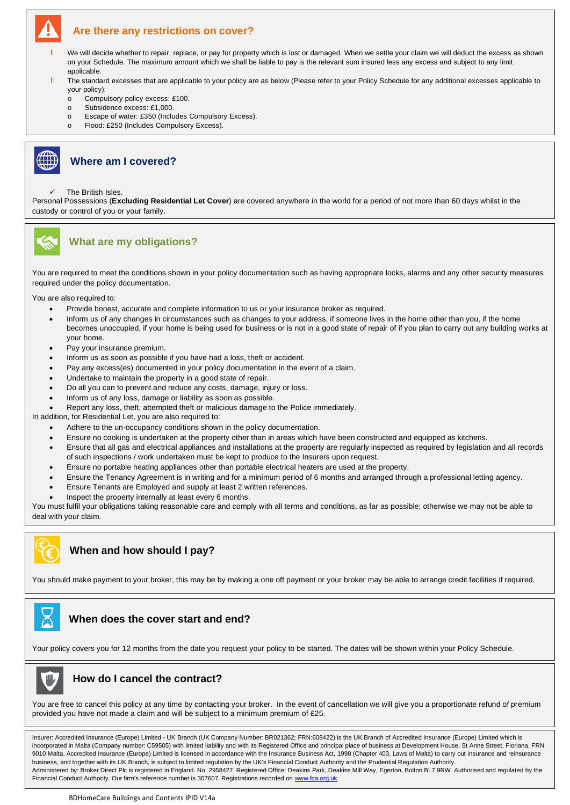# **Are there any restrictions on cover?**

- **!** We will decide whether to repair, replace, or pay for property which is lost or damaged. When we settle your claim we will deduct the excess as shown on your Schedule. The maximum amount which we shall be liable to pay is the relevant sum insured less any excess and subject to any limit applicable.
- **!** The standard excesses that are applicable to your policy are as below (Please refer to your Policy Schedule for any additional excesses applicable to your policy):
	- Compulsory policy excess: £100.
	- o Subsidence excess: £1,000.
	- o Escape of water: £350 (Includes Compulsory Excess).
	- o Flood: £250 (Includes Compulsory Excess).



## **Where am I covered?**

The British Isles.

Personal Possessions (**Excluding Residential Let Cover**) are covered anywhere in the world for a period of not more than 60 days whilst in the custody or control of you or your family.



## **What are my obligations?**

You are required to meet the conditions shown in your policy documentation such as having appropriate locks, alarms and any other security measures required under the policy documentation.

You are also required to:

- Provide honest, accurate and complete information to us or your insurance broker as required.
- Inform us of any changes in circumstances such as changes to your address, if someone lives in the home other than you, if the home becomes unoccupied, if your home is being used for business or is not in a good state of repair of if you plan to carry out any building works at your home.
- Pay your insurance premium.
- Inform us as soon as possible if you have had a loss, theft or accident.
- Pay any excess(es) documented in your policy documentation in the event of a claim.
- Undertake to maintain the property in a good state of repair.
- Do all you can to prevent and reduce any costs, damage, injury or loss.
- Inform us of any loss, damage or liability as soon as possible.
- Report any loss, theft, attempted theft or malicious damage to the Police immediately.

In addition, for Residential Let, you are also required to:

- Adhere to the un-occupancy conditions shown in the policy documentation.
- Ensure no cooking is undertaken at the property other than in areas which have been constructed and equipped as kitchens.
- Ensure that all gas and electrical appliances and installations at the property are regularly inspected as required by legislation and all records of such inspections / work undertaken must be kept to produce to the Insurers upon request.
- Ensure no portable heating appliances other than portable electrical heaters are used at the property.
- Ensure the Tenancy Agreement is in writing and for a minimum period of 6 months and arranged through a professional letting agency.
- Ensure Tenants are Employed and supply at least 2 written references.
- Inspect the property internally at least every 6 months.

You must fulfil your obligations taking reasonable care and comply with all terms and conditions, as far as possible; otherwise we may not be able to deal with your claim.

# **When and how should I pay?**

You should make payment to your broker, this may be by making a one off payment or your broker may be able to arrange credit facilities if required.

# **When does the cover start and end?**

Your policy covers you for 12 months from the date you request your policy to be started. The dates will be shown within your Policy Schedule.



## **How do I cancel the contract?**

You are free to cancel this policy at any time by contacting your broker. In the event of cancellation we will give you a proportionate refund of premium provided you have not made a claim and will be subject to a minimum premium of £25.

Insurer: Accredited Insurance (Europe) Limited - UK Branch (UK Company Number: BR021362; FRN:608422) is the UK Branch of Accredited Insurance (Europe) Limited which is incorporated in Malta (Company number: C59505) with limited liability and with its Registered Office and principal place of business at Development House, St Anne Street, Floriana, FRN 9010 Malta. Accredited Insurance (Europe) Limited is licensed in accordance with the Insurance Business Act, 1998 (Chapter 403, Laws of Malta) to carry out insurance and reinsurance business, and together with its UK Branch, is subject to limited regulation by the UK's Financial Conduct Authority and the Prudential Regulation Authority. Administered by: Broker Direct Plc is registered in England. No. 2958427. Registered Office: Deakins Park, Deakins Mill Way, Egerton, Bolton BL7 9RW. Authorised and regulated by the Financial Conduct Authority. Our firm's reference number is 307607. Registrations recorded o[n www.fca.org.uk.](http://www.fca.org.uk/)